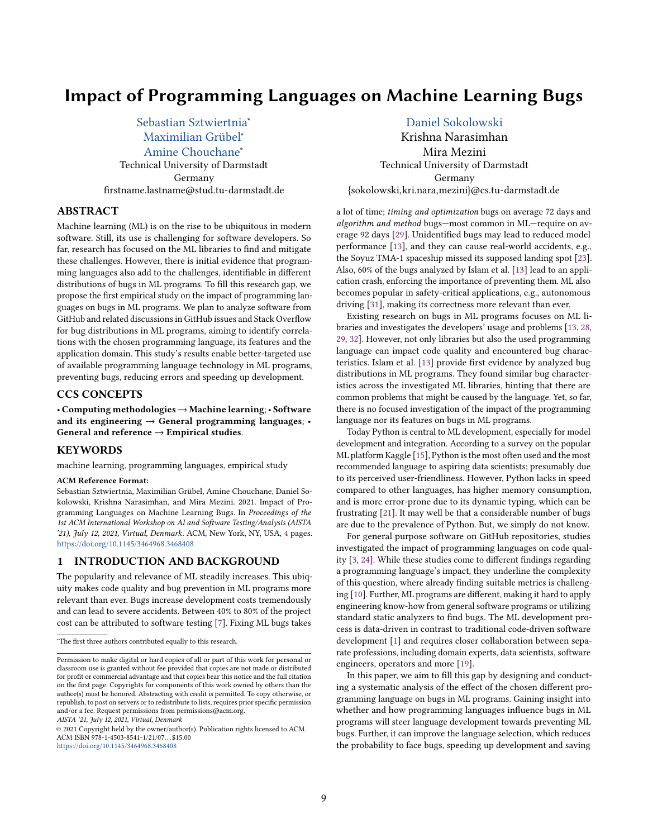# Impact of Programming Languages on Machine Learning Bugs

[Sebastian Sztwiertnia](https://orcid.org/0000-0001-8532-4319)<sup>∗</sup> [Maximilian Grübel](https://orcid.org/0000-0002-2429-7369)<sup>∗</sup> [Amine Chouchane](https://orcid.org/0000-0001-5071-8860)<sup>∗</sup> Technical University of Darmstadt Germany firstname.lastname@stud.tu-darmstadt.de

# ABSTRACT

Machine learning (ML) is on the rise to be ubiquitous in modern software. Still, its use is challenging for software developers. So far, research has focused on the ML libraries to find and mitigate these challenges. However, there is initial evidence that programming languages also add to the challenges, identifiable in different distributions of bugs in ML programs. To fill this research gap, we propose the first empirical study on the impact of programming languages on bugs in ML programs. We plan to analyze software from GitHub and related discussions in GitHub issues and Stack Overflow for bug distributions in ML programs, aiming to identify correlations with the chosen programming language, its features and the application domain. This study's results enable better-targeted use of available programming language technology in ML programs, preventing bugs, reducing errors and speeding up development.

# CCS CONCEPTS

• Computing methodologies → Machine learning; • Software and its engineering  $\rightarrow$  General programming languages; • General and reference  $\rightarrow$  Empirical studies.

#### KEYWORDS

machine learning, programming languages, empirical study

#### ACM Reference Format:

Sebastian Sztwiertnia, Maximilian Grübel, Amine Chouchane, Daniel Sokolowski, Krishna Narasimhan, and Mira Mezini. 2021. Impact of Programming Languages on Machine Learning Bugs. In Proceedings of the 1st ACM International Workshop on AI and Software Testing/Analysis (AISTA '21), July 12, 2021, Virtual, Denmark. ACM, New York, NY, USA, [4](#page-3-0) pages. <https://doi.org/10.1145/3464968.3468408>

#### 1 INTRODUCTION AND BACKGROUND

The popularity and relevance of ML steadily increases. This ubiquity makes code quality and bug prevention in ML programs more relevant than ever. Bugs increase development costs tremendously and can lead to severe accidents. Between 40% to 80% of the project cost can be attributed to software testing [\[7\]](#page-3-1). Fixing ML bugs takes

AISTA '21, July 12, 2021, Virtual, Denmark

© 2021 Copyright held by the owner/author(s). Publication rights licensed to ACM. ACM ISBN 978-1-4503-8541-1/21/07. . . \$15.00 <https://doi.org/10.1145/3464968.3468408>

[Daniel Sokolowski](https://orcid.org/0000-0003-2911-8304)

Krishna Narasimhan Mira Mezini Technical University of Darmstadt Germany {sokolowski,kri.nara,mezini}@cs.tu-darmstadt.de

a lot of time; timing and optimization bugs on average 72 days and algorithm and method bugs—most common in ML—require on average 92 days [\[29\]](#page-3-2). Unidentified bugs may lead to reduced model performance [\[13\]](#page-3-3), and they can cause real-world accidents, e.g., the Soyuz TMA-1 spaceship missed its supposed landing spot [\[23\]](#page-3-4). Also, 60% of the bugs analyzed by Islam et al. [\[13\]](#page-3-3) lead to an application crash, enforcing the importance of preventing them. ML also becomes popular in safety-critical applications, e.g., autonomous driving [\[31\]](#page-3-5), making its correctness more relevant than ever.

Existing research on bugs in ML programs focuses on ML libraries and investigates the developers' usage and problems [\[13,](#page-3-3) [28,](#page-3-6) [29,](#page-3-2) [32\]](#page-3-7). However, not only libraries but also the used programming language can impact code quality and encountered bug characteristics. Islam et al. [\[13\]](#page-3-3) provide first evidence by analyzed bug distributions in ML programs. They found similar bug characteristics across the investigated ML libraries, hinting that there are common problems that might be caused by the language. Yet, so far, there is no focused investigation of the impact of the programming language nor its features on bugs in ML programs.

Today Python is central to ML development, especially for model development and integration. According to a survey on the popular ML platform Kaggle [\[15\]](#page-3-8), Python is the most often used and the most recommended language to aspiring data scientists; presumably due to its perceived user-friendliness. However, Python lacks in speed compared to other languages, has higher memory consumption, and is more error-prone due to its dynamic typing, which can be frustrating [\[21\]](#page-3-9). It may well be that a considerable number of bugs are due to the prevalence of Python. But, we simply do not know.

For general purpose software on GitHub repositories, studies investigated the impact of programming languages on code quality [\[3,](#page-3-10) [24\]](#page-3-11). While these studies come to different findings regarding a programming language's impact, they underline the complexity of this question, where already finding suitable metrics is challenging [\[10\]](#page-3-12). Further, ML programs are different, making it hard to apply engineering know-how from general software programs or utilizing standard static analyzers to find bugs. The ML development process is data-driven in contrast to traditional code-driven software development [\[1\]](#page-3-13) and requires closer collaboration between separate professions, including domain experts, data scientists, software engineers, operators and more [\[19\]](#page-3-14).

In this paper, we aim to fill this gap by designing and conducting a systematic analysis of the effect of the chosen different programming language on bugs in ML programs. Gaining insight into whether and how programming languages influence bugs in ML programs will steer language development towards preventing ML bugs. Further, it can improve the language selection, which reduces the probability to face bugs, speeding up development and saving

<sup>∗</sup>The first three authors contributed equally to this research.

Permission to make digital or hard copies of all or part of this work for personal or classroom use is granted without fee provided that copies are not made or distributed for profit or commercial advantage and that copies bear this notice and the full citation on the first page. Copyrights for components of this work owned by others than the author(s) must be honored. Abstracting with credit is permitted. To copy otherwise, or republish, to post on servers or to redistribute to lists, requires prior specific permission and/or a fee. Request permissions from permissions@acm.org.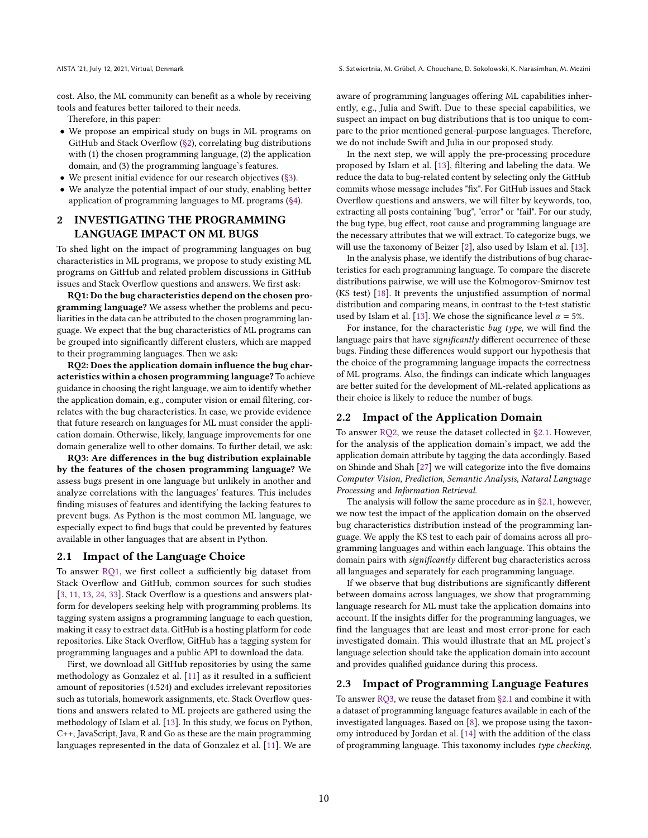cost. Also, the ML community can benefit as a whole by receiving tools and features better tailored to their needs.

Therefore, in this paper:

- We propose an empirical study on bugs in ML programs on GitHub and Stack Overflow [\(§2\)](#page-1-0), correlating bug distributions with (1) the chosen programming language, (2) the application domain, and (3) the programming language's features.
- We present initial evidence for our research objectives [\(§3\)](#page-2-0).
- We analyze the potential impact of our study, enabling better application of programming languages to ML programs [\(§4\)](#page-2-1).

# <span id="page-1-0"></span>2 INVESTIGATING THE PROGRAMMING LANGUAGE IMPACT ON ML BUGS

To shed light on the impact of programming languages on bug characteristics in ML programs, we propose to study existing ML programs on GitHub and related problem discussions in GitHub issues and Stack Overflow questions and answers. We first ask:

<span id="page-1-1"></span>RQ1: Do the bug characteristics depend on the chosen programming language? We assess whether the problems and peculiarities in the data can be attributed to the chosen programming language. We expect that the bug characteristics of ML programs can be grouped into significantly different clusters, which are mapped to their programming languages. Then we ask:

<span id="page-1-2"></span>RQ2: Does the application domain influence the bug characteristics within a chosen programming language? To achieve guidance in choosing the right language, we aim to identify whether the application domain, e.g., computer vision or email filtering, correlates with the bug characteristics. In case, we provide evidence that future research on languages for ML must consider the application domain. Otherwise, likely, language improvements for one domain generalize well to other domains. To further detail, we ask:

<span id="page-1-4"></span>RQ3: Are differences in the bug distribution explainable by the features of the chosen programming language? We assess bugs present in one language but unlikely in another and analyze correlations with the languages' features. This includes finding misuses of features and identifying the lacking features to prevent bugs. As Python is the most common ML language, we especially expect to find bugs that could be prevented by features available in other languages that are absent in Python.

#### <span id="page-1-3"></span>2.1 Impact of the Language Choice

To answer [RQ1,](#page-1-1) we first collect a sufficiently big dataset from Stack Overflow and GitHub, common sources for such studies [\[3,](#page-3-10) [11,](#page-3-15) [13,](#page-3-3) [24,](#page-3-11) [33\]](#page-3-16). Stack Overflow is a questions and answers platform for developers seeking help with programming problems. Its tagging system assigns a programming language to each question, making it easy to extract data. GitHub is a hosting platform for code repositories. Like Stack Overflow, GitHub has a tagging system for programming languages and a public API to download the data.

First, we download all GitHub repositories by using the same methodology as Gonzalez et al. [\[11\]](#page-3-15) as it resulted in a sufficient amount of repositories (4.524) and excludes irrelevant repositories such as tutorials, homework assignments, etc. Stack Overflow questions and answers related to ML projects are gathered using the methodology of Islam et al. [\[13\]](#page-3-3). In this study, we focus on Python, C++, JavaScript, Java, R and Go as these are the main programming languages represented in the data of Gonzalez et al. [\[11\]](#page-3-15). We are

aware of programming languages offering ML capabilities inherently, e.g., Julia and Swift. Due to these special capabilities, we suspect an impact on bug distributions that is too unique to compare to the prior mentioned general-purpose languages. Therefore, we do not include Swift and Julia in our proposed study.

In the next step, we will apply the pre-processing procedure proposed by Islam et al. [\[13\]](#page-3-3), filtering and labeling the data. We reduce the data to bug-related content by selecting only the GitHub commits whose message includes "fix". For GitHub issues and Stack Overflow questions and answers, we will filter by keywords, too, extracting all posts containing "bug", "error" or "fail". For our study, the bug type, bug effect, root cause and programming language are the necessary attributes that we will extract. To categorize bugs, we will use the taxonomy of Beizer [\[2\]](#page-3-17), also used by Islam et al. [\[13\]](#page-3-3).

In the analysis phase, we identify the distributions of bug characteristics for each programming language. To compare the discrete distributions pairwise, we will use the Kolmogorov-Smirnov test (KS test) [\[18\]](#page-3-18). It prevents the unjustified assumption of normal distribution and comparing means, in contrast to the t-test statistic used by Islam et al. [\[13\]](#page-3-3). We chose the significance level  $\alpha = 5\%$ .

For instance, for the characteristic bug type, we will find the language pairs that have significantly different occurrence of these bugs. Finding these differences would support our hypothesis that the choice of the programming language impacts the correctness of ML programs. Also, the findings can indicate which languages are better suited for the development of ML-related applications as their choice is likely to reduce the number of bugs.

#### 2.2 Impact of the Application Domain

To answer [RQ2,](#page-1-2) we reuse the dataset collected in [§2.1.](#page-1-3) However, for the analysis of the application domain's impact, we add the application domain attribute by tagging the data accordingly. Based on Shinde and Shah [\[27\]](#page-3-19) we will categorize into the five domains Computer Vision, Prediction, Semantic Analysis, Natural Language Processing and Information Retrieval.

The analysis will follow the same procedure as in [§2.1,](#page-1-3) however, we now test the impact of the application domain on the observed bug characteristics distribution instead of the programming language. We apply the KS test to each pair of domains across all programming languages and within each language. This obtains the domain pairs with significantly different bug characteristics across all languages and separately for each programming language.

If we observe that bug distributions are significantly different between domains across languages, we show that programming language research for ML must take the application domains into account. If the insights differ for the programming languages, we find the languages that are least and most error-prone for each investigated domain. This would illustrate that an ML project's language selection should take the application domain into account and provides qualified guidance during this process.

#### 2.3 Impact of Programming Language Features

To answer [RQ3,](#page-1-4) we reuse the dataset from [§2.1](#page-1-3) and combine it with a dataset of programming language features available in each of the investigated languages. Based on [\[8\]](#page-3-20), we propose using the taxonomy introduced by Jordan et al. [\[14\]](#page-3-21) with the addition of the class of programming language. This taxonomy includes type checking,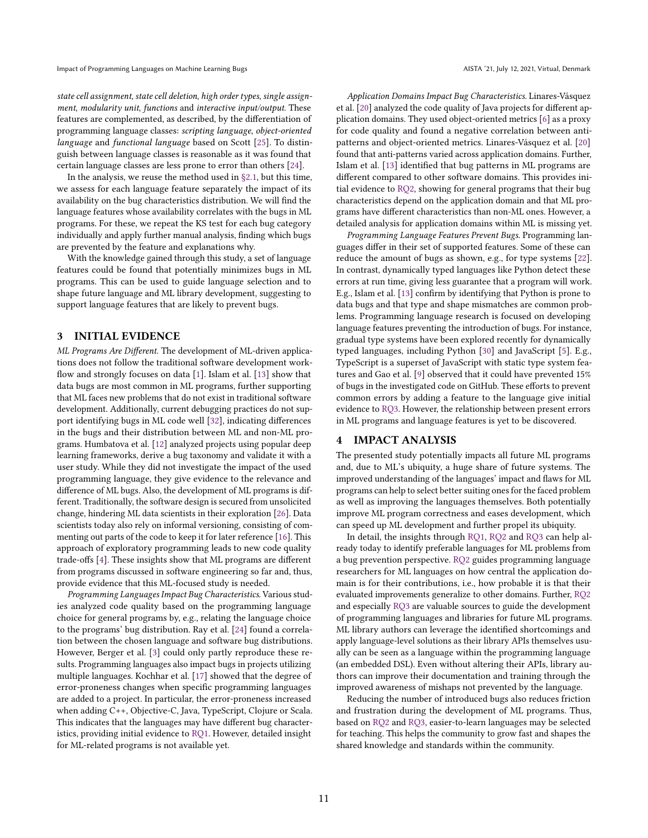state cell assignment, state cell deletion, high order types, single assignment, modularity unit, functions and interactive input/output. These features are complemented, as described, by the differentiation of programming language classes: scripting language, object-oriented language and functional language based on Scott [\[25\]](#page-3-22). To distinguish between language classes is reasonable as it was found that certain language classes are less prone to error than others [\[24\]](#page-3-11).

In the analysis, we reuse the method used in  $\S$ 2.1, but this time, we assess for each language feature separately the impact of its availability on the bug characteristics distribution. We will find the language features whose availability correlates with the bugs in ML programs. For these, we repeat the KS test for each bug category individually and apply further manual analysis, finding which bugs are prevented by the feature and explanations why.

With the knowledge gained through this study, a set of language features could be found that potentially minimizes bugs in ML programs. This can be used to guide language selection and to shape future language and ML library development, suggesting to support language features that are likely to prevent bugs.

#### <span id="page-2-0"></span>3 INITIAL EVIDENCE

ML Programs Are Different. The development of ML-driven applications does not follow the traditional software development workflow and strongly focuses on data [\[1\]](#page-3-13). Islam et al. [\[13\]](#page-3-3) show that data bugs are most common in ML programs, further supporting that ML faces new problems that do not exist in traditional software development. Additionally, current debugging practices do not support identifying bugs in ML code well [\[32\]](#page-3-7), indicating differences in the bugs and their distribution between ML and non-ML programs. Humbatova et al. [\[12\]](#page-3-23) analyzed projects using popular deep learning frameworks, derive a bug taxonomy and validate it with a user study. While they did not investigate the impact of the used programming language, they give evidence to the relevance and difference of ML bugs. Also, the development of ML programs is different. Traditionally, the software design is secured from unsolicited change, hindering ML data scientists in their exploration [\[26\]](#page-3-24). Data scientists today also rely on informal versioning, consisting of commenting out parts of the code to keep it for later reference [\[16\]](#page-3-25). This approach of exploratory programming leads to new code quality trade-offs [\[4\]](#page-3-26). These insights show that ML programs are different from programs discussed in software engineering so far and, thus, provide evidence that this ML-focused study is needed.

Programming Languages Impact Bug Characteristics. Various studies analyzed code quality based on the programming language choice for general programs by, e.g., relating the language choice to the programs' bug distribution. Ray et al. [\[24\]](#page-3-11) found a correlation between the chosen language and software bug distributions. However, Berger et al. [\[3\]](#page-3-10) could only partly reproduce these results. Programming languages also impact bugs in projects utilizing multiple languages. Kochhar et al. [\[17\]](#page-3-27) showed that the degree of error-proneness changes when specific programming languages are added to a project. In particular, the error-proneness increased when adding C++, Objective-C, Java, TypeScript, Clojure or Scala. This indicates that the languages may have different bug characteristics, providing initial evidence to [RQ1.](#page-1-1) However, detailed insight for ML-related programs is not available yet.

Application Domains Impact Bug Characteristics. Linares-Vásquez et al. [\[20\]](#page-3-28) analyzed the code quality of Java projects for different application domains. They used object-oriented metrics [\[6\]](#page-3-29) as a proxy for code quality and found a negative correlation between antipatterns and object-oriented metrics. Linares-Vásquez et al. [\[20\]](#page-3-28) found that anti-patterns varied across application domains. Further, Islam et al. [\[13\]](#page-3-3) identified that bug patterns in ML programs are different compared to other software domains. This provides initial evidence to [RQ2,](#page-1-2) showing for general programs that their bug characteristics depend on the application domain and that ML programs have different characteristics than non-ML ones. However, a detailed analysis for application domains within ML is missing yet.

Programming Language Features Prevent Bugs. Programming languages differ in their set of supported features. Some of these can reduce the amount of bugs as shown, e.g., for type systems [\[22\]](#page-3-30). In contrast, dynamically typed languages like Python detect these errors at run time, giving less guarantee that a program will work. E.g., Islam et al. [\[13\]](#page-3-3) confirm by identifying that Python is prone to data bugs and that type and shape mismatches are common problems. Programming language research is focused on developing language features preventing the introduction of bugs. For instance, gradual type systems have been explored recently for dynamically typed languages, including Python [\[30\]](#page-3-31) and JavaScript [\[5\]](#page-3-32). E.g., TypeScript is a superset of JavaScript with static type system features and Gao et al. [\[9\]](#page-3-33) observed that it could have prevented 15% of bugs in the investigated code on GitHub. These efforts to prevent common errors by adding a feature to the language give initial evidence to [RQ3.](#page-1-4) However, the relationship between present errors in ML programs and language features is yet to be discovered.

### <span id="page-2-1"></span>4 IMPACT ANALYSIS

The presented study potentially impacts all future ML programs and, due to ML's ubiquity, a huge share of future systems. The improved understanding of the languages' impact and flaws for ML programs can help to select better suiting ones for the faced problem as well as improving the languages themselves. Both potentially improve ML program correctness and eases development, which can speed up ML development and further propel its ubiquity.

In detail, the insights through [RQ1,](#page-1-1) [RQ2](#page-1-2) and [RQ3](#page-1-4) can help already today to identify preferable languages for ML problems from a bug prevention perspective. [RQ2](#page-1-2) guides programming language researchers for ML languages on how central the application domain is for their contributions, i.e., how probable it is that their evaluated improvements generalize to other domains. Further, [RQ2](#page-1-2) and especially [RQ3](#page-1-4) are valuable sources to guide the development of programming languages and libraries for future ML programs. ML library authors can leverage the identified shortcomings and apply language-level solutions as their library APIs themselves usually can be seen as a language within the programming language (an embedded DSL). Even without altering their APIs, library authors can improve their documentation and training through the improved awareness of mishaps not prevented by the language.

Reducing the number of introduced bugs also reduces friction and frustration during the development of ML programs. Thus, based on [RQ2](#page-1-2) and [RQ3,](#page-1-4) easier-to-learn languages may be selected for teaching. This helps the community to grow fast and shapes the shared knowledge and standards within the community.